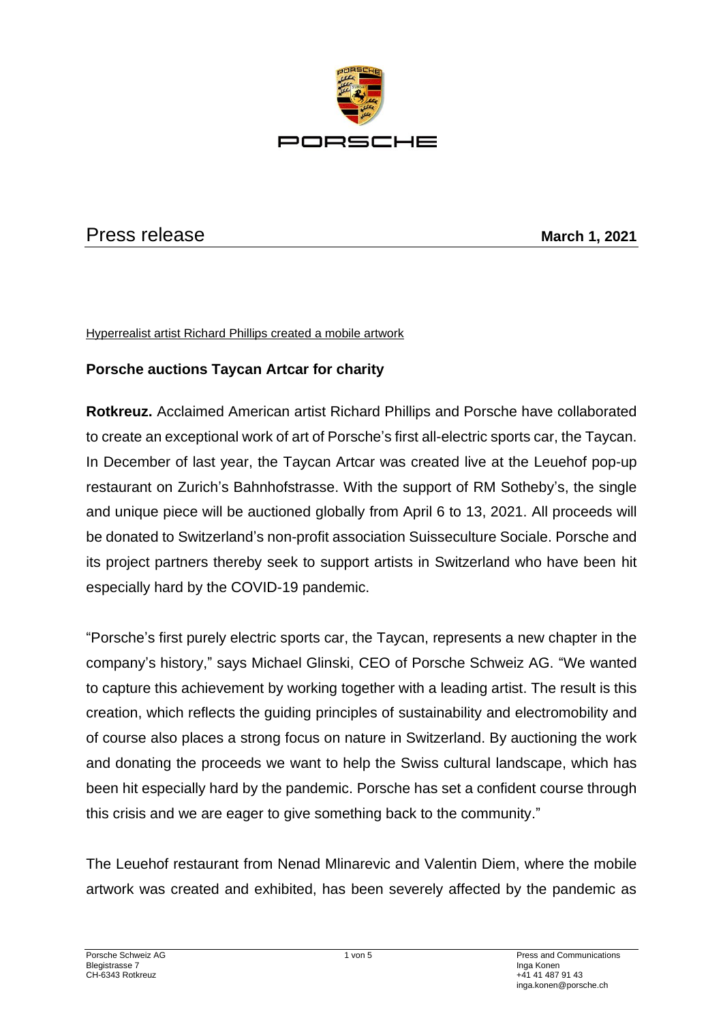

# Press release **March 1, 2021**

Hyperrealist artist Richard Phillips created a mobile artwork

# **Porsche auctions Taycan Artcar for charity**

**Rotkreuz.** Acclaimed American artist Richard Phillips and Porsche have collaborated to create an exceptional work of art of Porsche's first all-electric sports car, the Taycan. In December of last year, the Taycan Artcar was created live at the Leuehof pop-up restaurant on Zurich's Bahnhofstrasse. With the support of RM Sotheby's, the single and unique piece will be auctioned globally from April 6 to 13, 2021. All proceeds will be donated to Switzerland's non-profit association Suisseculture Sociale. Porsche and its project partners thereby seek to support artists in Switzerland who have been hit especially hard by the COVID-19 pandemic.

"Porsche's first purely electric sports car, the Taycan, represents a new chapter in the company's history," says Michael Glinski, CEO of Porsche Schweiz AG. "We wanted to capture this achievement by working together with a leading artist. The result is this creation, which reflects the guiding principles of sustainability and electromobility and of course also places a strong focus on nature in Switzerland. By auctioning the work and donating the proceeds we want to help the Swiss cultural landscape, which has been hit especially hard by the pandemic. Porsche has set a confident course through this crisis and we are eager to give something back to the community."

The Leuehof restaurant from Nenad Mlinarevic and Valentin Diem, where the mobile artwork was created and exhibited, has been severely affected by the pandemic as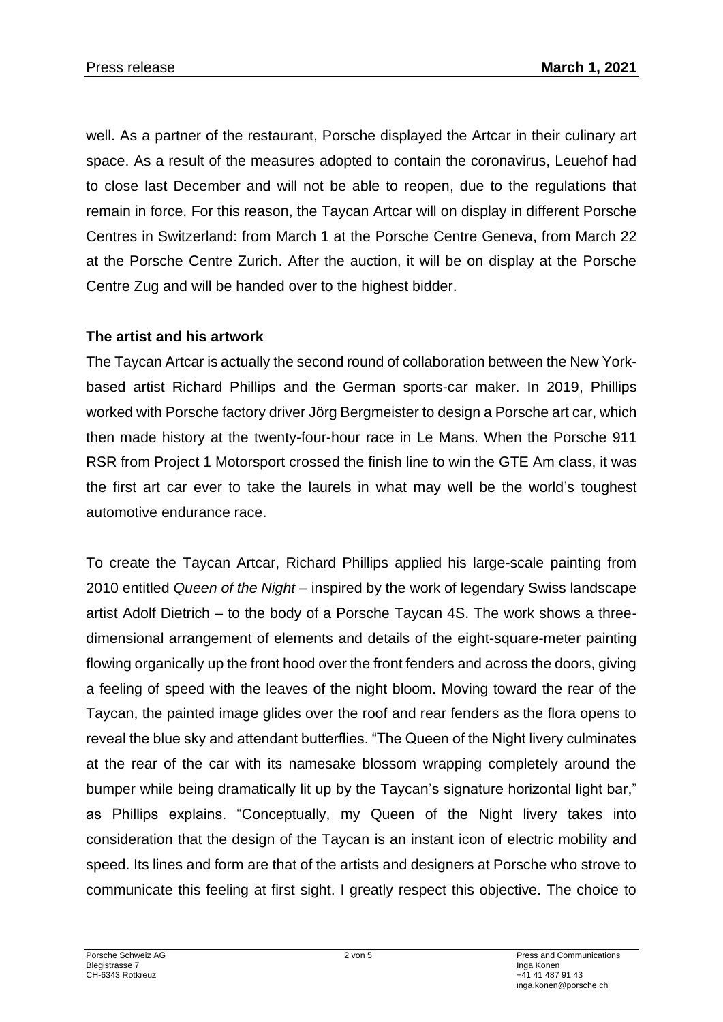well. As a partner of the restaurant, Porsche displayed the Artcar in their culinary art space. As a result of the measures adopted to contain the coronavirus, Leuehof had to close last December and will not be able to reopen, due to the regulations that remain in force. For this reason, the Taycan Artcar will on display in different Porsche Centres in Switzerland: from March 1 at the Porsche Centre Geneva, from March 22 at the Porsche Centre Zurich. After the auction, it will be on display at the Porsche Centre Zug and will be handed over to the highest bidder.

### **The artist and his artwork**

The Taycan Artcar is actually the second round of collaboration between the New Yorkbased artist Richard Phillips and the German sports-car maker. In 2019, Phillips worked with Porsche factory driver Jörg Bergmeister to design a Porsche art car, which then made history at the twenty-four-hour race in Le Mans. When the Porsche 911 RSR from Project 1 Motorsport crossed the finish line to win the GTE Am class, it was the first art car ever to take the laurels in what may well be the world's toughest automotive endurance race.

To create the Taycan Artcar, Richard Phillips applied his large-scale painting from 2010 entitled *Queen of the Night* – inspired by the work of legendary Swiss landscape artist Adolf Dietrich – to the body of a Porsche Taycan 4S. The work shows a threedimensional arrangement of elements and details of the eight-square-meter painting flowing organically up the front hood over the front fenders and across the doors, giving a feeling of speed with the leaves of the night bloom. Moving toward the rear of the Taycan, the painted image glides over the roof and rear fenders as the flora opens to reveal the blue sky and attendant butterflies. "The Queen of the Night livery culminates at the rear of the car with its namesake blossom wrapping completely around the bumper while being dramatically lit up by the Taycan's signature horizontal light bar," as Phillips explains. "Conceptually, my Queen of the Night livery takes into consideration that the design of the Taycan is an instant icon of electric mobility and speed. Its lines and form are that of the artists and designers at Porsche who strove to communicate this feeling at first sight. I greatly respect this objective. The choice to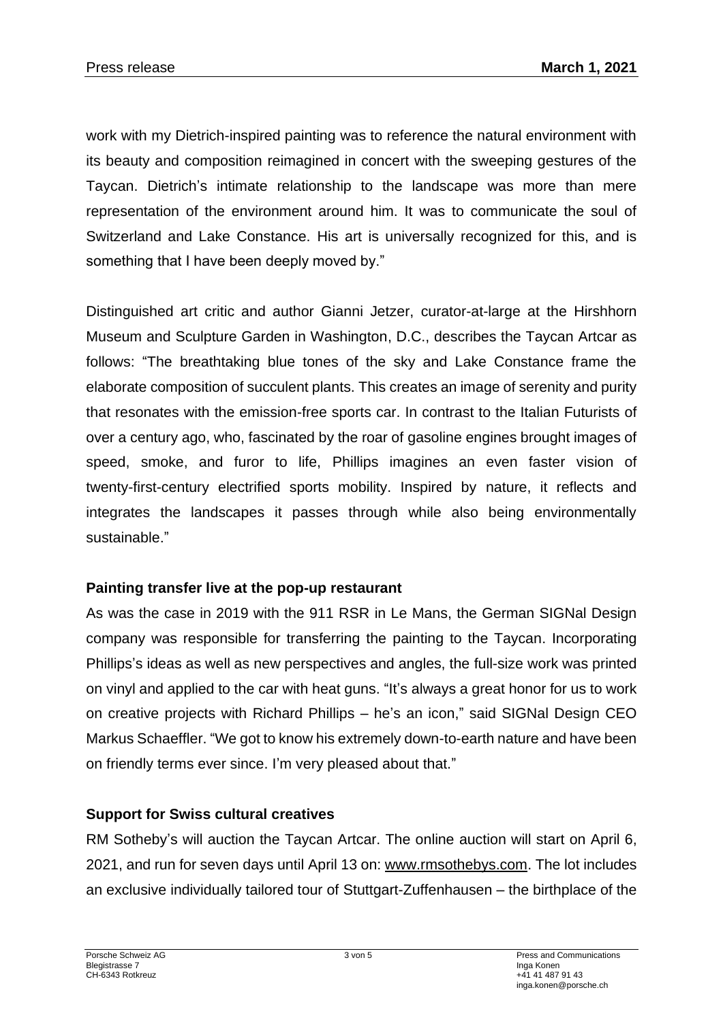work with my Dietrich-inspired painting was to reference the natural environment with its beauty and composition reimagined in concert with the sweeping gestures of the Taycan. Dietrich's intimate relationship to the landscape was more than mere representation of the environment around him. It was to communicate the soul of Switzerland and Lake Constance. His art is universally recognized for this, and is something that I have been deeply moved by."

Distinguished art critic and author Gianni Jetzer, curator-at-large at the Hirshhorn Museum and Sculpture Garden in Washington, D.C., describes the Taycan Artcar as follows: "The breathtaking blue tones of the sky and Lake Constance frame the elaborate composition of succulent plants. This creates an image of serenity and purity that resonates with the emission-free sports car. In contrast to the Italian Futurists of over a century ago, who, fascinated by the roar of gasoline engines brought images of speed, smoke, and furor to life, Phillips imagines an even faster vision of twenty-first-century electrified sports mobility. Inspired by nature, it reflects and integrates the landscapes it passes through while also being environmentally sustainable."

#### **Painting transfer live at the pop-up restaurant**

As was the case in 2019 with the 911 RSR in Le Mans, the German SIGNal Design company was responsible for transferring the painting to the Taycan. Incorporating Phillips's ideas as well as new perspectives and angles, the full-size work was printed on vinyl and applied to the car with heat guns. "It's always a great honor for us to work on creative projects with Richard Phillips – he's an icon," said SIGNal Design CEO Markus Schaeffler. "We got to know his extremely down-to-earth nature and have been on friendly terms ever since. I'm very pleased about that."

### **Support for Swiss cultural creatives**

RM Sotheby's will auction the Taycan Artcar. The online auction will start on April 6, 2021, and run for seven days until April 13 on: [www.rmsothebys.com.](http://www.rmsothebys.com/) The lot includes an exclusive individually tailored tour of Stuttgart-Zuffenhausen – the birthplace of the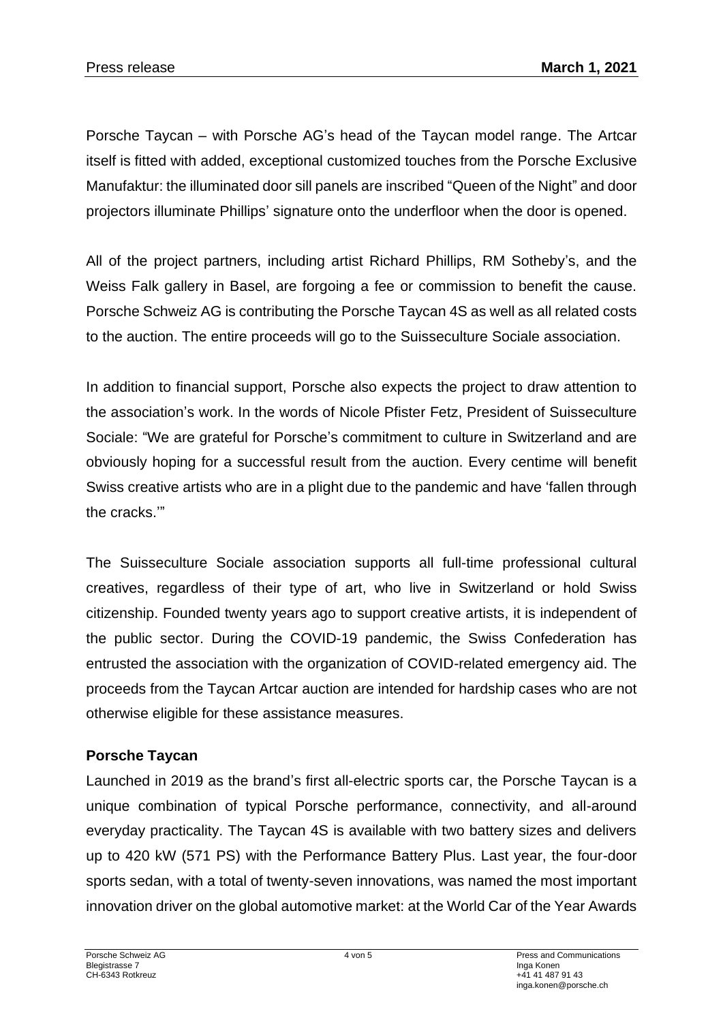Porsche Taycan – with Porsche AG's head of the Taycan model range. The Artcar itself is fitted with added, exceptional customized touches from the Porsche Exclusive Manufaktur: the illuminated door sill panels are inscribed "Queen of the Night" and door projectors illuminate Phillips' signature onto the underfloor when the door is opened.

All of the project partners, including artist Richard Phillips, RM Sotheby's, and the Weiss Falk gallery in Basel, are forgoing a fee or commission to benefit the cause. Porsche Schweiz AG is contributing the Porsche Taycan 4S as well as all related costs to the auction. The entire proceeds will go to the Suisseculture Sociale association.

In addition to financial support, Porsche also expects the project to draw attention to the association's work. In the words of Nicole Pfister Fetz, President of Suisseculture Sociale: "We are grateful for Porsche's commitment to culture in Switzerland and are obviously hoping for a successful result from the auction. Every centime will benefit Swiss creative artists who are in a plight due to the pandemic and have 'fallen through the cracks.'"

The Suisseculture Sociale association supports all full-time professional cultural creatives, regardless of their type of art, who live in Switzerland or hold Swiss citizenship. Founded twenty years ago to support creative artists, it is independent of the public sector. During the COVID-19 pandemic, the Swiss Confederation has entrusted the association with the organization of COVID-related emergency aid. The proceeds from the Taycan Artcar auction are intended for hardship cases who are not otherwise eligible for these assistance measures.

# **Porsche Taycan**

Launched in 2019 as the brand's first all-electric sports car, the Porsche Taycan is a unique combination of typical Porsche performance, connectivity, and all-around everyday practicality. The Taycan 4S is available with two battery sizes and delivers up to 420 kW (571 PS) with the Performance Battery Plus. Last year, the four-door sports sedan, with a total of twenty-seven innovations, was named the most important innovation driver on the global automotive market: at the World Car of the Year Awards